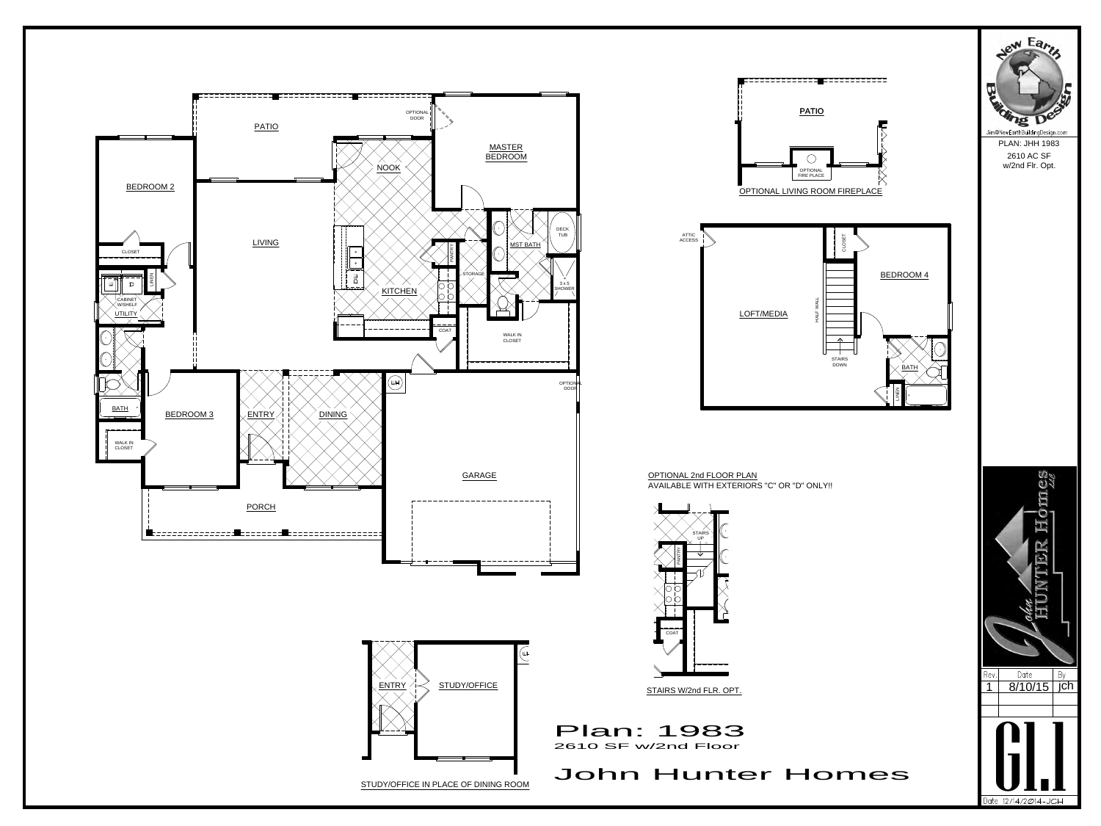









w/2nd Flr. Opt.





OPTIONAL 2nd FLOOR PLAN AVAILABLE WITH EXTERIORS "C" OR "D" ONLY!!

## John Hunter Homes

Plan: 1983 2610 SF w/2nd Floor

STAIRS W/2nd FLR. OPT.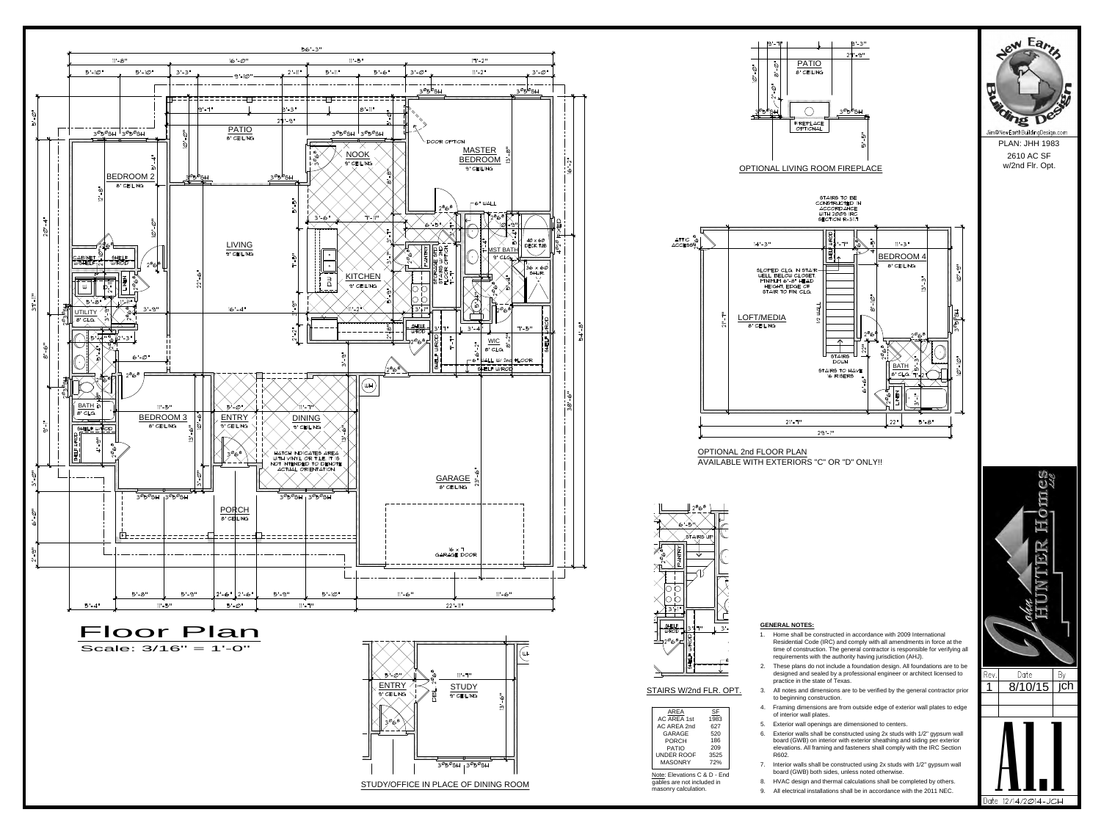四 EXERAL NOTES:<br>
2. Home shall be constructed in accordance with 2009 International<br>
Residential Code (IRC) and comply with all amendments in force at the<br>
time of construction. The general contractor is responsible for veri **SENERAL NOTES:**<br>
1. Home shall be constructed in accordance with 2009 International<br>
Residential Code (IRC) and comply with all amendments in force at the<br>
time of construction. The general contractor is responsible for v EXERAL NOTES:<br>
1. Home shall be constructed in accordance with 2009 International<br>
Residential Code (IRC) and comply with all amendments in force at the<br>
time of construction. The general contactor is responsible for verif A1.1



 $\frac{1}{2}$ STUDY/OFFICE IN PLACE OF DINING ROOM STUDY/OFFICE IN PLACE OF DINING ROOM

## **GENERAL NOTES:**

- **GENERAL NOTES:**<br>
1. Home shall be constructed in accordance with 2009 International<br>
Residential Code (IRC) and comply with all amendments in force at the<br>
time of construction. The general contractor is responsible for Residential Code (IRC) and comply with all amendments in force at the time of construction. The general contractor is responsible for verifying all requirements with the authority having jurisdiction (AHJ).
- designed and sealed by a professional engineer or architect licensed to Rev. Date Date By practice in the state of Texas.
- to beginning construction. practice in the state of Texas.<br>STAIRS W/2nd FLR. OPT. 3. All notes and dimensions are to be verified by the general contractor prior 18/10/15
	- AREA
	SF
	SENCIES
	A
	SF
	A
	SF
	SILE OF interior wall plates.  $1983$   $\qquad \qquad -\qquad \qquad -\qquad \qquad -\qquad \qquad -\qquad \qquad -\qquad \qquad -\qquad \qquad -\qquad \qquad -\qquad \qquad -\qquad \qquad -\qquad \qquad -\qquad \qquad -\qquad \qquad -\qquad \qquad -\qquad \qquad -\qquad \qquad -\qquad \qquad -\qquad \qquad -\qquad \qquad -\qquad \qquad -\qquad \qquad -\qquad \qquad -\qquad \qquad -\qquad \qquad -\qquad \qquad -\qquad \qquad -\qquad \qquad -\qquad \qquad -\qquad \qquad -\qquad \qquad -\qquad$ 
		- $627$  |  $3.$  Exterior wall operling
- **GENERAL NOTES:**<br>
1. Home shall be constructed in accordance with 2009 International<br>
Residential Code (IRC) and comply with all amendments in force at the<br>
time of construction. The general contractor is responsible for v **GENERAL NOTES:**<br>
1. Home shall be constructed in accordance with 2009 International<br>
Residential Code (IRC) and comply with all amendments in force at the<br>
time of construction. The general contractor is responsible for PORCH 186 186 board (GWB) on interior with exterior sheathing and siding per exterior PATIO 209 209 elevations. All framing and fasteners shall comply with the IRC Section UNDER ROOF 3525 | R602. **GENERAL NOTES:**<br>
1. Home shall be constructed in accordance with 2009 International<br>
Residential Code (IRC) and comply with all amendments in force at the<br>
time of construction. The general contractor is responsible for 1. Home shall be constructed in accordance with 2009 International<br>
Residential Code (IRC) and comply with all amendments in force at the<br>
time of construction. The general contractor is responsible for verifying all<br>
req Residential Code (IRC) and comply with all amendments in force at the<br>time of construction. The general contractor is responsible for verifying all<br>requirements with the authority having jurisdiction (AHJ).<br>2. These plans GARAGE 520 | 6. Exterior walls shall be
- Note: Elevations C & D End board (GWB) both sides, unless noted otherwise. MASONRY 72% 7 Interior walls shall be constructed using 2x stu
- gables are not included in **8.** HVAC design and thermal calculations shall be completed by others.
- masonry calculation. 9. All electrical installations shall be in accordance with the 2011 NEC.





| AREA                              | SF          | 4.             | Framing dir<br>of interior w |
|-----------------------------------|-------------|----------------|------------------------------|
| <b>AC AREA 1st</b><br>AC AREA 2nd | 1983<br>627 | 5.             | <b>Exterior</b> wa           |
| GARAGE                            | 520         | 6.             | Exterior wa                  |
| <b>PORCH</b>                      | 186         |                | board (GW)                   |
| <b>PATIO</b>                      | 209         |                | elevations.                  |
| UNDER ROOF                        | 3525        |                | R602.                        |
| <b>MASONRY</b>                    | 72%         | 7 <sub>1</sub> | Interior wall                |
| Note: Elevations C & D - End      | board (GW)  |                |                              |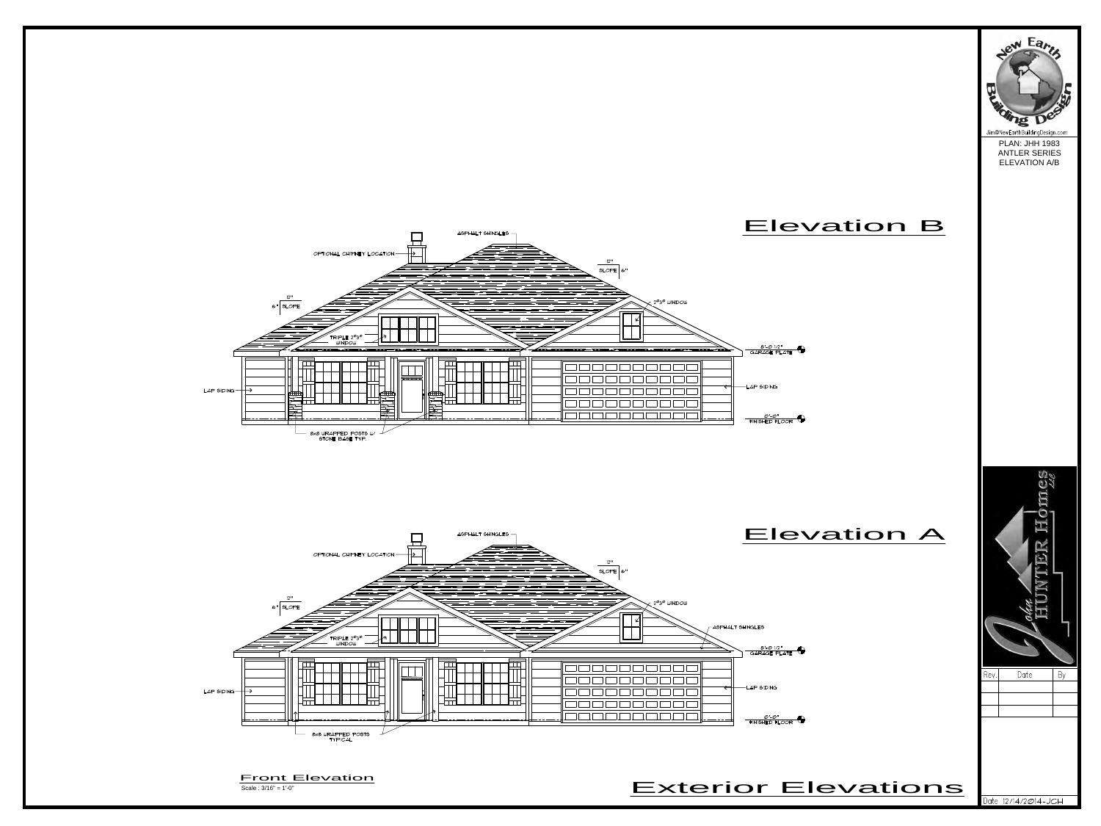



Scale : 3/16" = 1'-0"